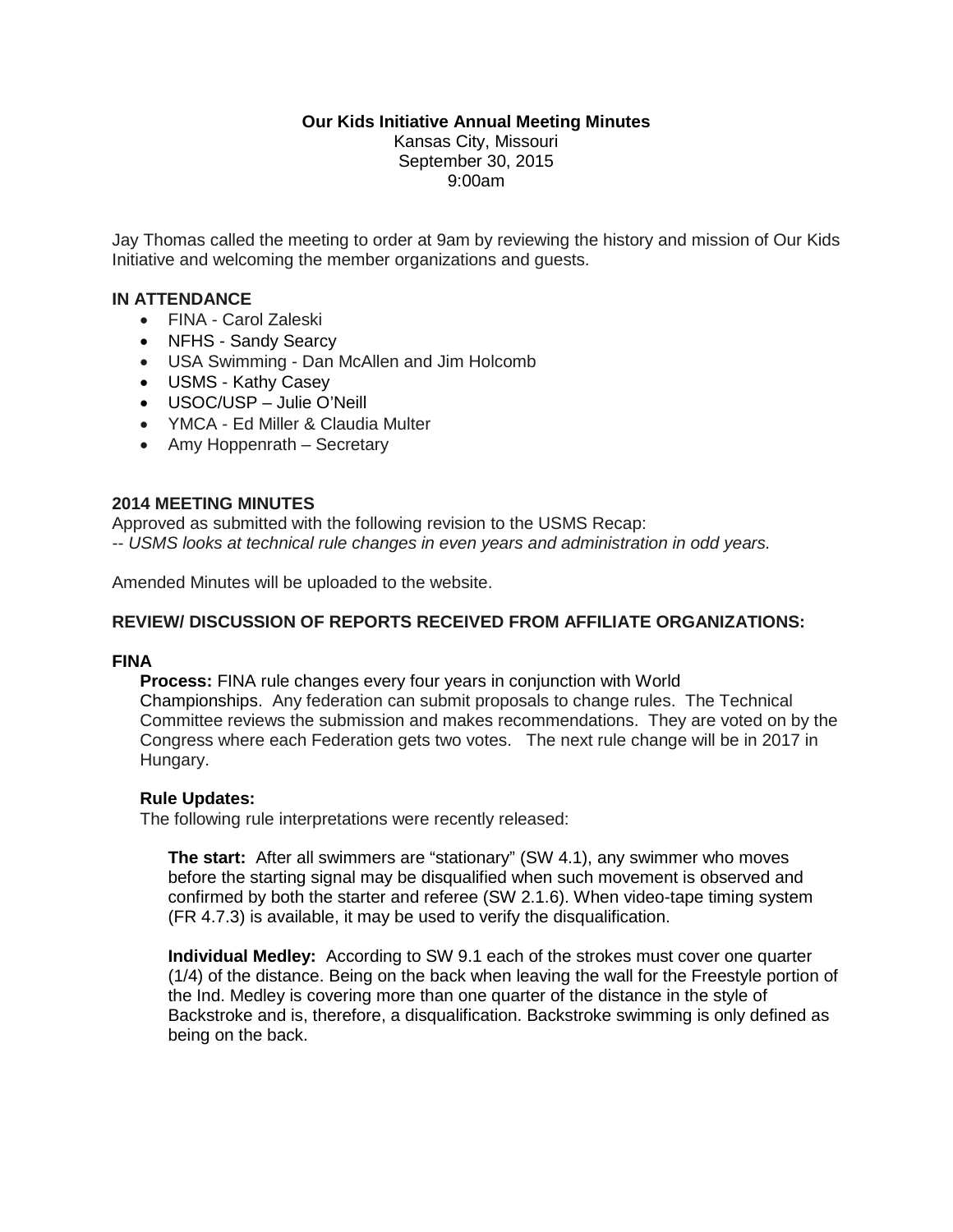# **Our Kids Initiative Annual Meeting Minutes**

Kansas City, Missouri September 30, 2015 9:00am

Jay Thomas called the meeting to order at 9am by reviewing the history and mission of Our Kids Initiative and welcoming the member organizations and guests.

## **IN ATTENDANCE**

- FINA Carol Zaleski
- NFHS Sandy Searcy
- USA Swimming Dan McAllen and Jim Holcomb
- USMS Kathy Casey
- USOC/USP Julie O'Neill
- YMCA Ed Miller & Claudia Multer
- Amy Hoppenrath Secretary

# **2014 MEETING MINUTES**

Approved as submitted with the following revision to the USMS Recap: *-- USMS looks at technical rule changes in even years and administration in odd years.*

Amended Minutes will be uploaded to the website.

# **REVIEW/ DISCUSSION OF REPORTS RECEIVED FROM AFFILIATE ORGANIZATIONS:**

### **FINA**

**Process:** FINA rule changes every four years in conjunction with World Championships. Any federation can submit proposals to change rules. The Technical Committee reviews the submission and makes recommendations. They are voted on by the Congress where each Federation gets two votes. The next rule change will be in 2017 in Hungary.

### **Rule Updates:**

The following rule interpretations were recently released:

**The start:** After all swimmers are "stationary" (SW 4.1), any swimmer who moves before the starting signal may be disqualified when such movement is observed and confirmed by both the starter and referee (SW 2.1.6). When video-tape timing system (FR 4.7.3) is available, it may be used to verify the disqualification.

**Individual Medley:** According to SW 9.1 each of the strokes must cover one quarter (1/4) of the distance. Being on the back when leaving the wall for the Freestyle portion of the Ind. Medley is covering more than one quarter of the distance in the style of Backstroke and is, therefore, a disqualification. Backstroke swimming is only defined as being on the back.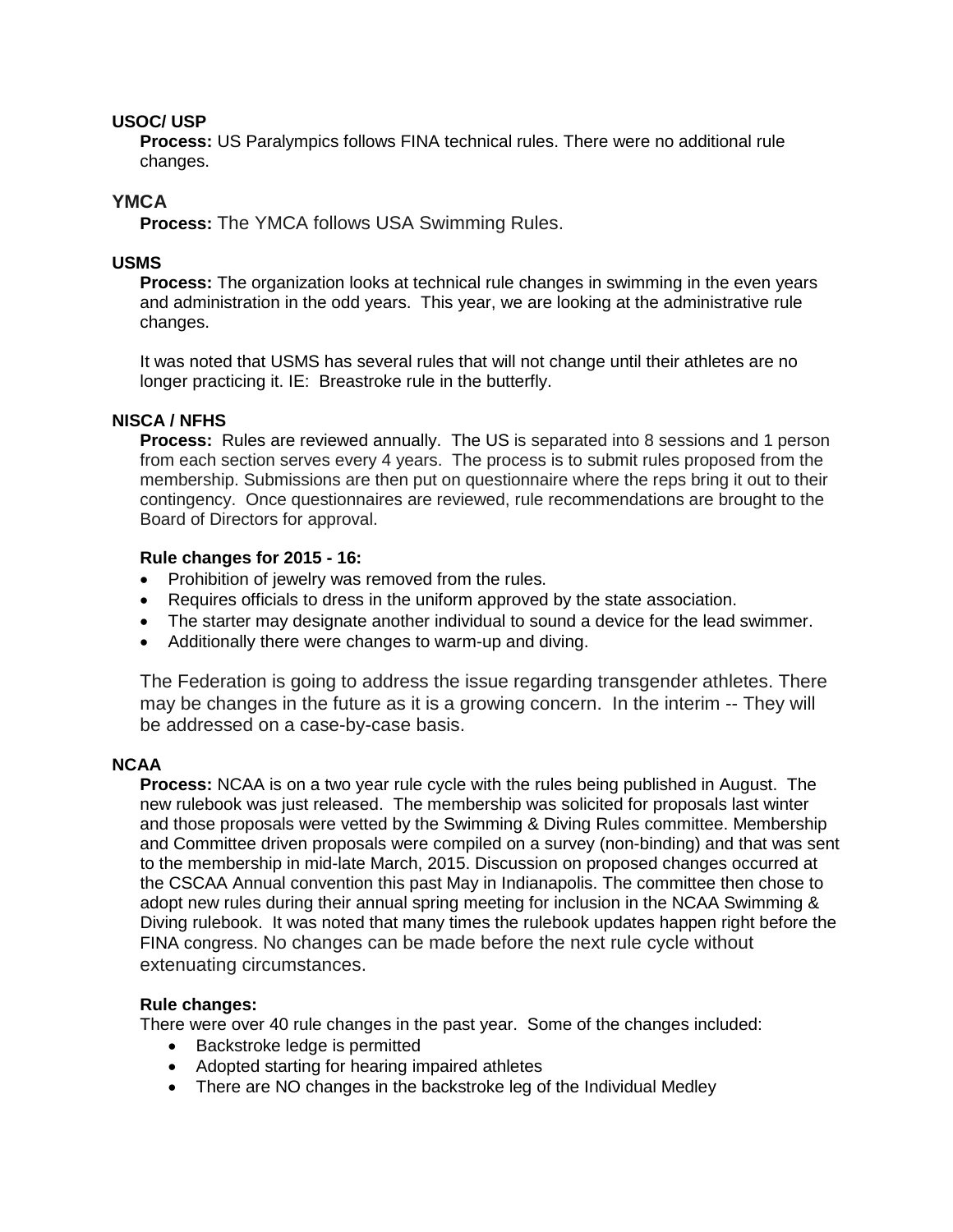# **USOC/ USP**

**Process:** US Paralympics follows FINA technical rules. There were no additional rule changes.

# **YMCA**

**Process:** The YMCA follows USA Swimming Rules.

## **USMS**

**Process:** The organization looks at technical rule changes in swimming in the even years and administration in the odd years. This year, we are looking at the administrative rule changes.

It was noted that USMS has several rules that will not change until their athletes are no longer practicing it. IE: Breastroke rule in the butterfly.

# **NISCA / NFHS**

**Process:** Rules are reviewed annually. The US is separated into 8 sessions and 1 person from each section serves every 4 years. The process is to submit rules proposed from the membership. Submissions are then put on questionnaire where the reps bring it out to their contingency. Once questionnaires are reviewed, rule recommendations are brought to the Board of Directors for approval.

# **Rule changes for 2015 - 16:**

- Prohibition of jewelry was removed from the rules.
- Requires officials to dress in the uniform approved by the state association.
- The starter may designate another individual to sound a device for the lead swimmer.
- Additionally there were changes to warm-up and diving.

The Federation is going to address the issue regarding transgender athletes. There may be changes in the future as it is a growing concern. In the interim -- They will be addressed on a case-by-case basis.

### **NCAA**

**Process:** NCAA is on a two year rule cycle with the rules being published in August. The new rulebook was just released. The membership was solicited for proposals last winter and those proposals were vetted by the Swimming & Diving Rules committee. Membership and Committee driven proposals were compiled on a survey (non-binding) and that was sent to the membership in mid-late March, 2015. Discussion on proposed changes occurred at the CSCAA Annual convention this past May in Indianapolis. The committee then chose to adopt new rules during their annual spring meeting for inclusion in the NCAA Swimming & Diving rulebook. It was noted that many times the rulebook updates happen right before the FINA congress. No changes can be made before the next rule cycle without extenuating circumstances.

### **Rule changes:**

There were over 40 rule changes in the past year. Some of the changes included:

- Backstroke ledge is permitted
- Adopted starting for hearing impaired athletes
- There are NO changes in the backstroke leg of the Individual Medley